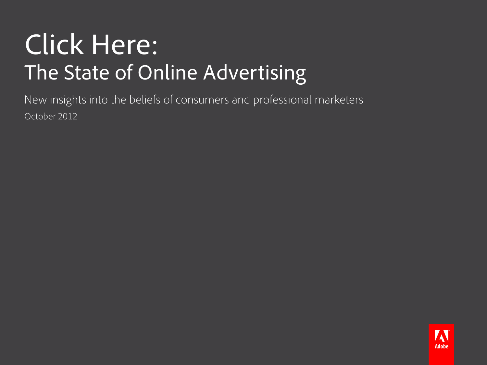# Click Here: The State of Online Advertising

New insights into the beliefs of consumers and professional marketers October 2012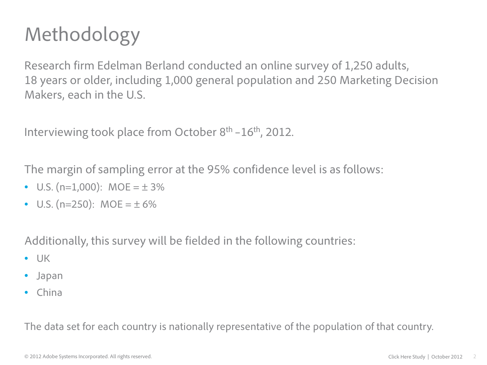# Methodology

Research firm Edelman Berland conducted an online survey of 1,250 adults, 18 years or older, including 1,000 general population and 250 Marketing Decision Makers, each in the U.S.

Interviewing took place from October  $8<sup>th</sup> - 16<sup>th</sup>$ , 2012.

The margin of sampling error at the 95% confidence level is as follows:

- U.S. (n=1,000): MOE =  $\pm$  3%
- U.S. (n=250):  $MOE = \pm 6\%$

Additionally, this survey will be fielded in the following countries:

- UK
- Japan
- China

The data set for each country is nationally representative of the population of that country.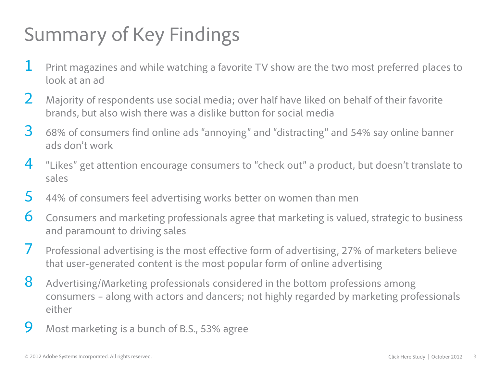# Summary of Key Findings

- $1$  Print magazines and while watching a favorite TV show are the two most preferred places to look at an ad
- 2 Majority of respondents use social media; over half have liked on behalf of their favorite brands, but also wish there was a dislike button for social media
- 3 68% of consumers find online ads "annoying" and "distracting" and 54% say online banner ads don't work
- $4$  "Likes" get attention encourage consumers to "check out" a product, but doesn't translate to sales
- 5 44% of consumers feel advertising works better on women than men
- 6 Consumers and marketing professionals agree that marketing is valued, strategic to business and paramount to driving sales
- 7 Professional advertising is the most effective form of advertising, 27% of marketers believe that user-generated content is the most popular form of online advertising
- 8 Advertising/Marketing professionals considered in the bottom professions among consumers – along with actors and dancers; not highly regarded by marketing professionals either
- 9 Most marketing is a bunch of B.S., 53% agree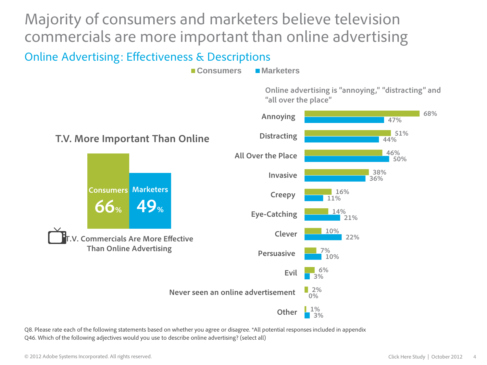Majority of consumers and marketers believe television commercials are more important than online advertising

#### Online Advertising: Effectiveness & Descriptions

**Consumers Marketers**

**Online advertising is "annoying," "distracting" and "all over the place"**



Q8. Please rate each of the following statements based on whether you agree or disagree. \*All potential responses included in appendix Q46. Which of the following adjectives would you use to describe online advertising? (select all)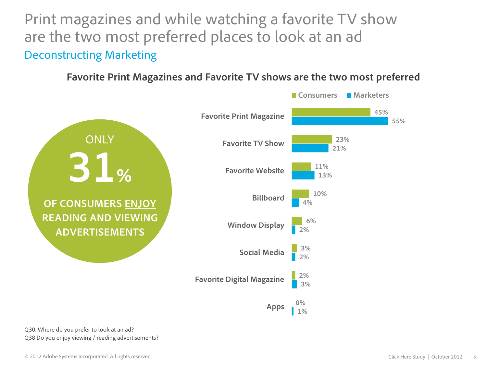Print magazines and while watching a favorite TV show are the two most preferred places to look at an ad Deconstructing Marketing

#### **Favorite Print Magazines and Favorite TV shows are the two most preferred**



Q30. Where do you prefer to look at an ad? Q38 Do you enjoy viewing / reading advertisements?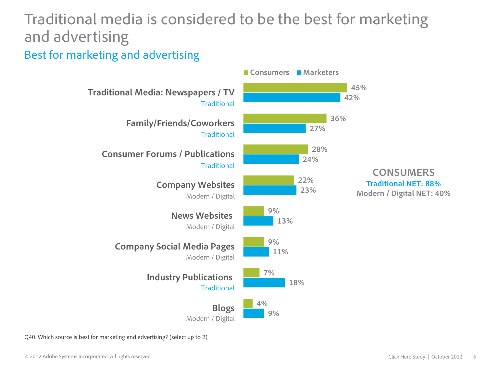## Traditional media is considered to be the best for marketing and advertising

#### Best for marketing and advertising



Q40. Which source is best for marketing and advertising? (select up to 2)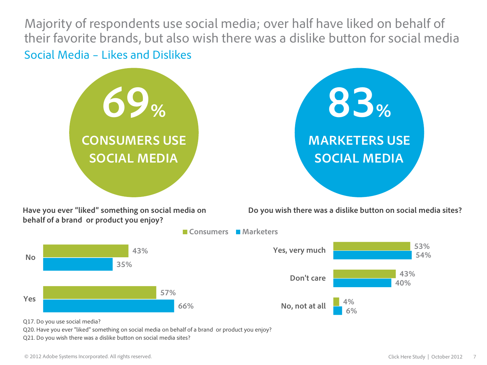Majority of respondents use social media; over half have liked on behalf of their favorite brands, but also wish there was a dislike button for social media Social Media – Likes and Dislikes







Q17. Do you use social media?

**No**

Q20. Have you ever "liked" something on social media on behalf of a brand or product you enjoy?

Q21. Do you wish there was a dislike button on social media sites?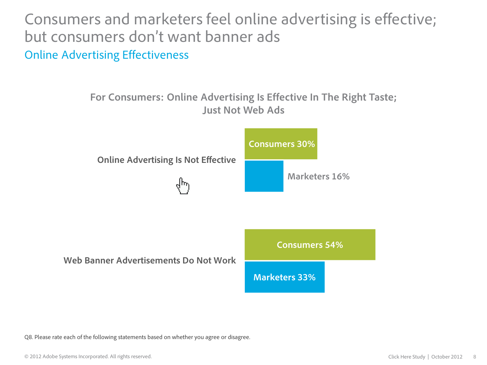Consumers and marketers feel online advertising is effective; but consumers don't want banner ads Online Advertising Effectiveness

### **For Consumers: Online Advertising Is Effective In The Right Taste; Just Not Web Ads**





Q8. Please rate each of the following statements based on whether you agree or disagree.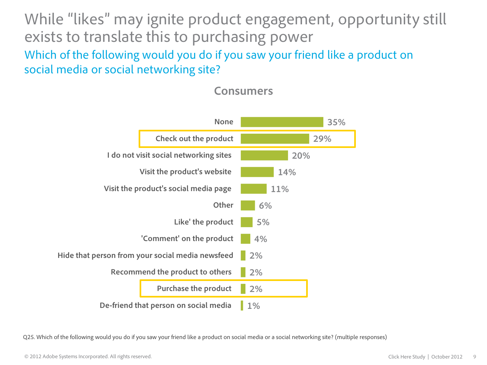While "likes" may ignite product engagement, opportunity still exists to translate this to purchasing power Which of the following would you do if you saw your friend like a product on social media or social networking site?



#### **Consumers**

Q25. Which of the following would you do if you saw your friend like a product on social media or a social networking site? (multiple responses)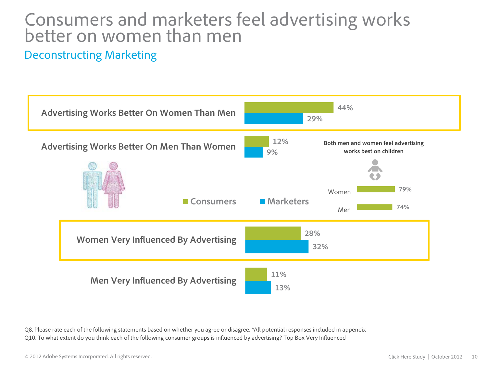### Consumers and marketers feel advertising works better on women than men

#### Deconstructing Marketing



Q8. Please rate each of the following statements based on whether you agree or disagree. \*All potential responses included in appendix Q10. To what extent do you think each of the following consumer groups is influenced by advertising? Top Box Very Influenced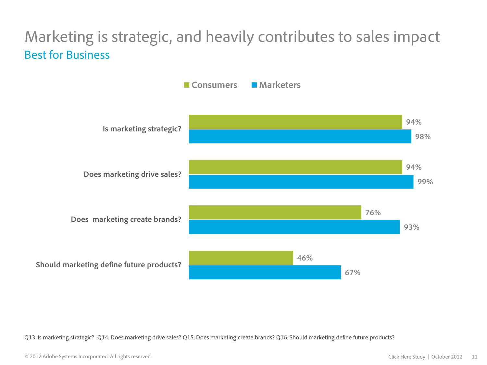### Marketing is strategic, and heavily contributes to sales impact Best for Business



Q13. Is marketing strategic? Q14. Does marketing drive sales? Q15. Does marketing create brands? Q16. Should marketing define future products?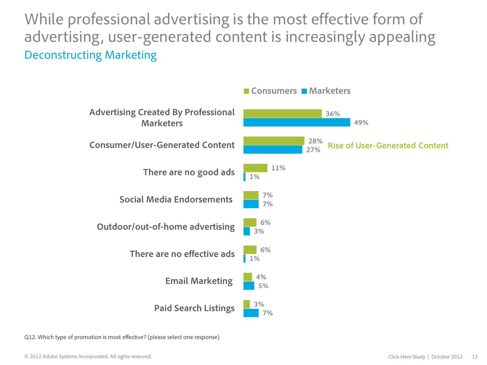While professional advertising is the most effective form of advertising, user-generated content is increasingly appealing Deconstructing Marketing



Q12. Which type of promotion is most effective? (please select one response)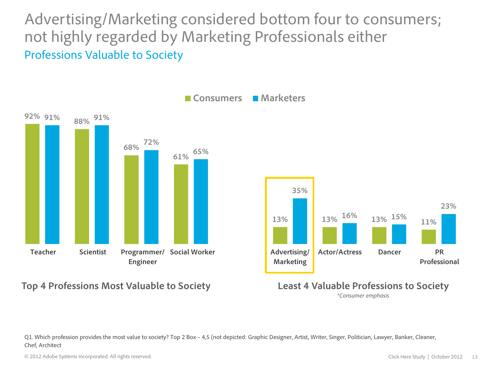Advertising/Marketing considered bottom four to consumers; not highly regarded by Marketing Professionals either Professions Valuable to Society



#### **Top 4 Professions Most Valuable to Society Least 4 Valuable Professions to Society**



\**Consumer emphasis*

Q1. Which profession provides the most value to society? Top 2 Box – 4,5 (not depicted: Graphic Designer, Artist, Writer, Singer, Politician, Lawyer, Banker, Cleaner, Chef, Architect

© 2012 Adobe Systems Incorporated. All rights reserved.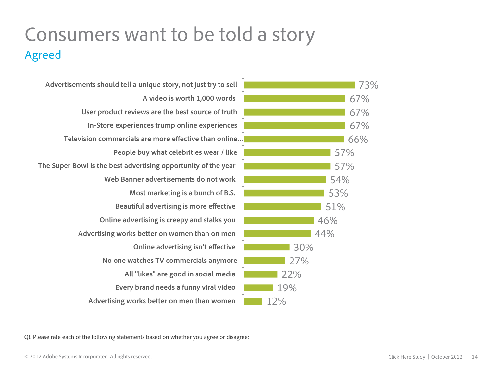## Consumers want to be told a story Agreed

**Advertising works better on men than women Every brand needs a funny viral video All "likes" are good in social media No one watches TV commercials anymore Online advertising isn't effective Advertising works better on women than on men Online advertising is creepy and stalks you Beautiful advertising is more effective Most marketing is a bunch of B.S. Web Banner advertisements do not work The Super Bowl is the best advertising opportunity of the year People buy what celebrities wear / like Television commercials are more effective than online… In-Store experiences trump online experiences User product reviews are the best source of truth A video is worth 1,000 words Advertisements should tell a unique story, not just try to sell**



Q8 Please rate each of the following statements based on whether you agree or disagree: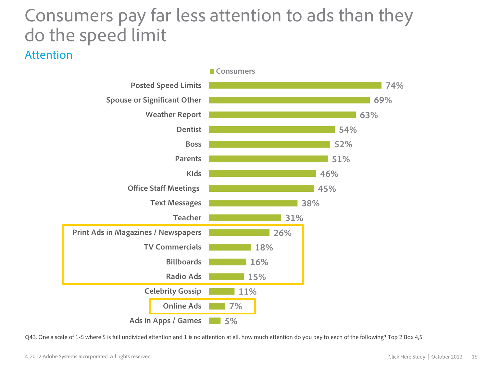## Consumers pay far less attention to ads than they do the speed limit

#### Attention



Q43. One a scale of 1-5 where 5 is full undivided attention and 1 is no attention at all, how much attention do you pay to each of the following? Top 2 Box 4,5